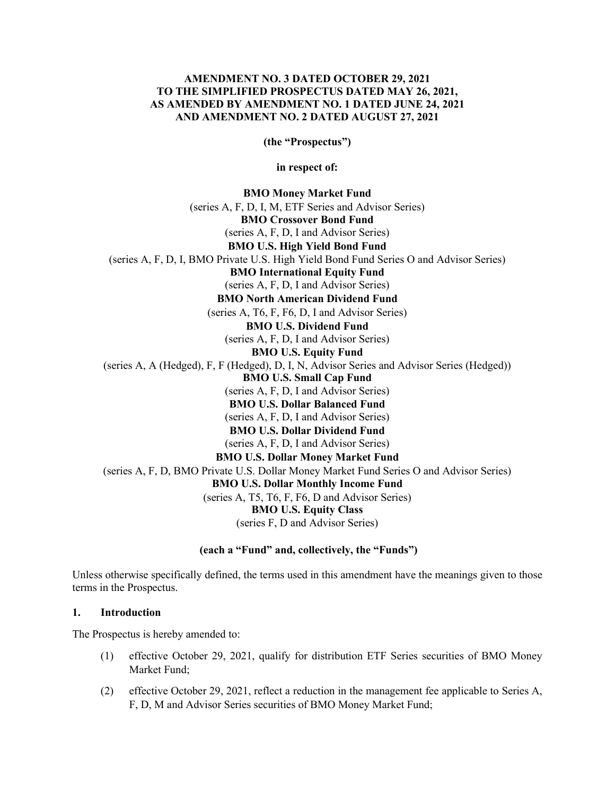## **AMENDMENT NO. 3 DATED OCTOBER 29, 2021 TO THE SIMPLIFIED PROSPECTUS DATED MAY 26, 2021, AS AMENDED BY AMENDMENT NO. 1 DATED JUNE 24, 2021 AND AMENDMENT NO. 2 DATED AUGUST 27, 2021**

**(the "Prospectus")**

**in respect of:**

**BMO Money Market Fund** (series A, F, D, I, M, ETF Series and Advisor Series) **BMO Crossover Bond Fund** (series A, F, D, I and Advisor Series) **BMO U.S. High Yield Bond Fund** (series A, F, D, I, BMO Private U.S. High Yield Bond Fund Series O and Advisor Series) **BMO International Equity Fund** (series A, F, D, I and Advisor Series) **BMO North American Dividend Fund** (series A, T6, F, F6, D, I and Advisor Series) **BMO U.S. Dividend Fund** (series A, F, D, I and Advisor Series) **BMO U.S. Equity Fund** (series A, A (Hedged), F, F (Hedged), D, I, N, Advisor Series and Advisor Series (Hedged)) **BMO U.S. Small Cap Fund** (series A, F, D, I and Advisor Series) **BMO U.S. Dollar Balanced Fund** (series A, F, D, I and Advisor Series) **BMO U.S. Dollar Dividend Fund** (series A, F, D, I and Advisor Series) **BMO U.S. Dollar Money Market Fund** (series A, F, D, BMO Private U.S. Dollar Money Market Fund Series O and Advisor Series) **BMO U.S. Dollar Monthly Income Fund** (series A, T5, T6, F, F6, D and Advisor Series) **BMO U.S. Equity Class** (series F, D and Advisor Series)

#### **(each a "Fund" and, collectively, the "Funds")**

Unless otherwise specifically defined, the terms used in this amendment have the meanings given to those terms in the Prospectus.

#### **1. Introduction**

The Prospectus is hereby amended to:

- (1) effective October 29, 2021, qualify for distribution ETF Series securities of BMO Money Market Fund;
- (2) effective October 29, 2021, reflect a reduction in the management fee applicable to Series A, F, D, M and Advisor Series securities of BMO Money Market Fund;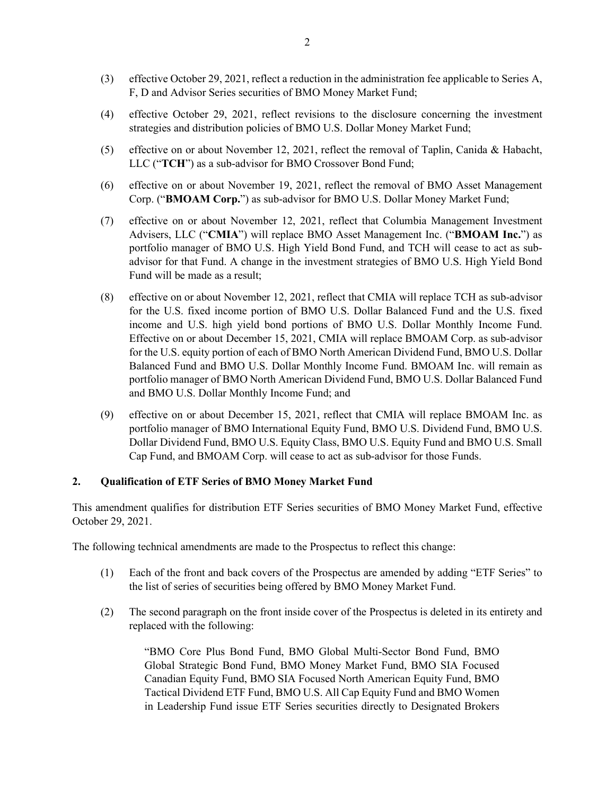- (3) effective October 29, 2021, reflect a reduction in the administration fee applicable to Series A, F, D and Advisor Series securities of BMO Money Market Fund;
- (4) effective October 29, 2021, reflect revisions to the disclosure concerning the investment strategies and distribution policies of BMO U.S. Dollar Money Market Fund;
- (5) effective on or about November 12, 2021, reflect the removal of Taplin, Canida & Habacht, LLC ("**TCH**") as a sub-advisor for BMO Crossover Bond Fund;
- (6) effective on or about November 19, 2021, reflect the removal of BMO Asset Management Corp. ("**BMOAM Corp.**") as sub-advisor for BMO U.S. Dollar Money Market Fund;
- (7) effective on or about November 12, 2021, reflect that Columbia Management Investment Advisers, LLC ("**CMIA**") will replace BMO Asset Management Inc. ("**BMOAM Inc.**") as portfolio manager of BMO U.S. High Yield Bond Fund, and TCH will cease to act as subadvisor for that Fund. A change in the investment strategies of BMO U.S. High Yield Bond Fund will be made as a result;
- (8) effective on or about November 12, 2021, reflect that CMIA will replace TCH as sub-advisor for the U.S. fixed income portion of BMO U.S. Dollar Balanced Fund and the U.S. fixed income and U.S. high yield bond portions of BMO U.S. Dollar Monthly Income Fund. Effective on or about December 15, 2021, CMIA will replace BMOAM Corp. as sub-advisor for the U.S. equity portion of each of BMO North American Dividend Fund, BMO U.S. Dollar Balanced Fund and BMO U.S. Dollar Monthly Income Fund. BMOAM Inc. will remain as portfolio manager of BMO North American Dividend Fund, BMO U.S. Dollar Balanced Fund and BMO U.S. Dollar Monthly Income Fund; and
- (9) effective on or about December 15, 2021, reflect that CMIA will replace BMOAM Inc. as portfolio manager of BMO International Equity Fund, BMO U.S. Dividend Fund, BMO U.S. Dollar Dividend Fund, BMO U.S. Equity Class, BMO U.S. Equity Fund and BMO U.S. Small Cap Fund, and BMOAM Corp. will cease to act as sub-advisor for those Funds.

#### **2. Qualification of ETF Series of BMO Money Market Fund**

This amendment qualifies for distribution ETF Series securities of BMO Money Market Fund, effective October 29, 2021.

The following technical amendments are made to the Prospectus to reflect this change:

- (1) Each of the front and back covers of the Prospectus are amended by adding "ETF Series" to the list of series of securities being offered by BMO Money Market Fund.
- (2) The second paragraph on the front inside cover of the Prospectus is deleted in its entirety and replaced with the following:

"BMO Core Plus Bond Fund, BMO Global Multi-Sector Bond Fund, BMO Global Strategic Bond Fund, BMO Money Market Fund, BMO SIA Focused Canadian Equity Fund, BMO SIA Focused North American Equity Fund, BMO Tactical Dividend ETF Fund, BMO U.S. All Cap Equity Fund and BMO Women in Leadership Fund issue ETF Series securities directly to Designated Brokers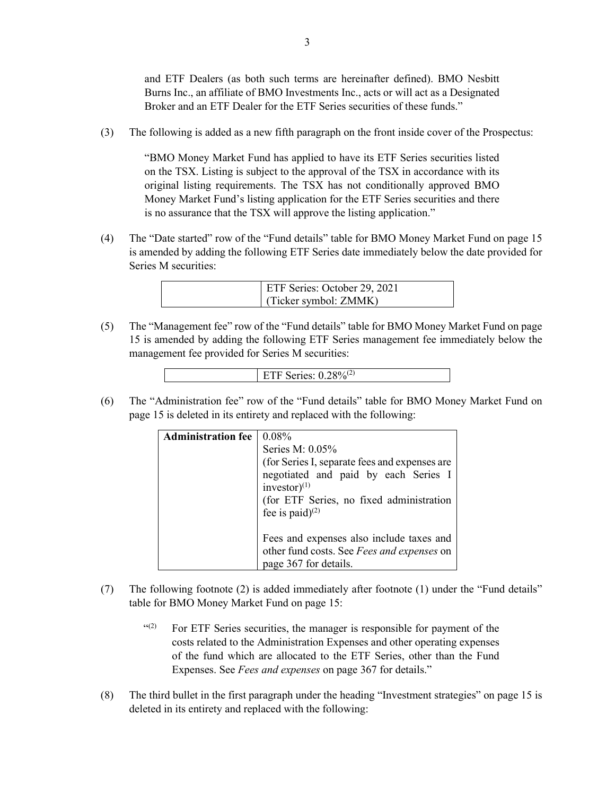and ETF Dealers (as both such terms are hereinafter defined). BMO Nesbitt Burns Inc., an affiliate of BMO Investments Inc., acts or will act as a Designated Broker and an ETF Dealer for the ETF Series securities of these funds."

(3) The following is added as a new fifth paragraph on the front inside cover of the Prospectus:

"BMO Money Market Fund has applied to have its ETF Series securities listed on the TSX. Listing is subject to the approval of the TSX in accordance with its original listing requirements. The TSX has not conditionally approved BMO Money Market Fund's listing application for the ETF Series securities and there is no assurance that the TSX will approve the listing application."

(4) The "Date started" row of the "Fund details" table for BMO Money Market Fund on page 15 is amended by adding the following ETF Series date immediately below the date provided for Series M securities:

| ETF Series: October 29, 2021 |
|------------------------------|
| $\int$ (Ticker symbol: ZMMK) |

(5) The "Management fee" row of the "Fund details" table for BMO Money Market Fund on page 15 is amended by adding the following ETF Series management fee immediately below the management fee provided for Series M securities:

(6) The "Administration fee" row of the "Fund details" table for BMO Money Market Fund on page 15 is deleted in its entirety and replaced with the following:

| <b>Administration fee</b> | 0.08%                                         |
|---------------------------|-----------------------------------------------|
|                           | Series M: 0.05%                               |
|                           | (for Series I, separate fees and expenses are |
|                           | negotiated and paid by each Series I          |
|                           | investor $)^{(1)}$                            |
|                           | (for ETF Series, no fixed administration      |
|                           | fee is paid $(2)$                             |
|                           |                                               |
|                           | Fees and expenses also include taxes and      |
|                           | other fund costs. See Fees and expenses on    |
|                           | page 367 for details.                         |

- (7) The following footnote (2) is added immediately after footnote (1) under the "Fund details" table for BMO Money Market Fund on page 15:
	- "(2) For ETF Series securities, the manager is responsible for payment of the costs related to the Administration Expenses and other operating expenses of the fund which are allocated to the ETF Series, other than the Fund Expenses. See *Fees and expenses* on page 367 for details."
- (8) The third bullet in the first paragraph under the heading "Investment strategies" on page 15 is deleted in its entirety and replaced with the following: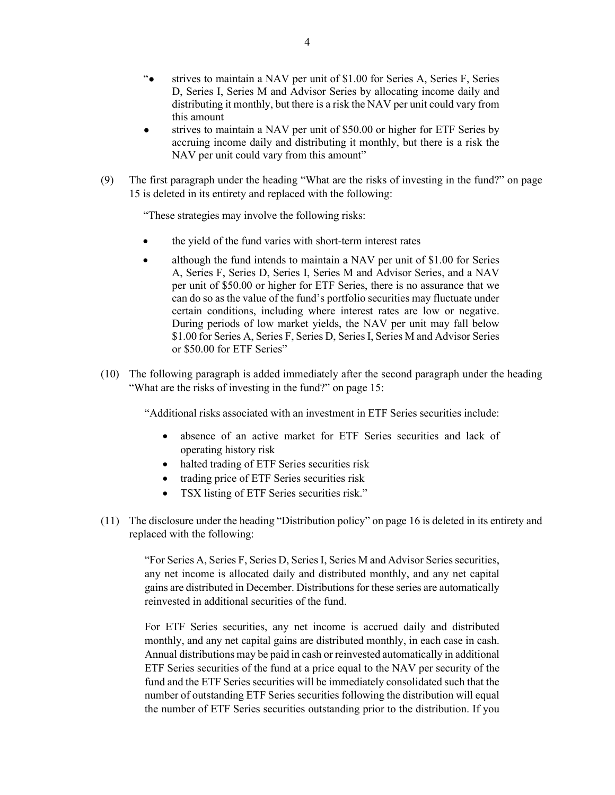- "● strives to maintain a NAV per unit of \$1.00 for Series A, Series F, Series D, Series I, Series M and Advisor Series by allocating income daily and distributing it monthly, but there is a risk the NAV per unit could vary from this amount
- strives to maintain a NAV per unit of \$50.00 or higher for ETF Series by accruing income daily and distributing it monthly, but there is a risk the NAV per unit could vary from this amount"
- (9) The first paragraph under the heading "What are the risks of investing in the fund?" on page 15 is deleted in its entirety and replaced with the following:

"These strategies may involve the following risks:

- the yield of the fund varies with short-term interest rates
- although the fund intends to maintain a NAV per unit of \$1.00 for Series A, Series F, Series D, Series I, Series M and Advisor Series, and a NAV per unit of \$50.00 or higher for ETF Series, there is no assurance that we can do so as the value of the fund's portfolio securities may fluctuate under certain conditions, including where interest rates are low or negative. During periods of low market yields, the NAV per unit may fall below \$1.00 for Series A, Series F, Series D, Series I, Series M and Advisor Series or \$50.00 for ETF Series"
- (10) The following paragraph is added immediately after the second paragraph under the heading "What are the risks of investing in the fund?" on page 15:

"Additional risks associated with an investment in ETF Series securities include:

- absence of an active market for ETF Series securities and lack of operating history risk
- halted trading of ETF Series securities risk
- trading price of ETF Series securities risk
- TSX listing of ETF Series securities risk."
- (11) The disclosure under the heading "Distribution policy" on page 16 is deleted in its entirety and replaced with the following:

"For Series A, Series F, Series D, Series I, Series M and Advisor Series securities, any net income is allocated daily and distributed monthly, and any net capital gains are distributed in December. Distributions for these series are automatically reinvested in additional securities of the fund.

For ETF Series securities, any net income is accrued daily and distributed monthly, and any net capital gains are distributed monthly, in each case in cash. Annual distributions may be paid in cash or reinvested automatically in additional ETF Series securities of the fund at a price equal to the NAV per security of the fund and the ETF Series securities will be immediately consolidated such that the number of outstanding ETF Series securities following the distribution will equal the number of ETF Series securities outstanding prior to the distribution. If you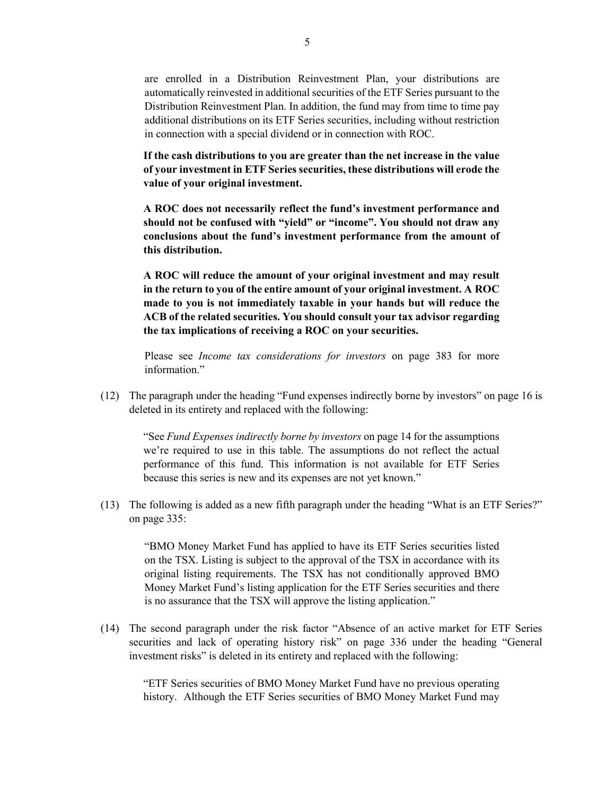are enrolled in a Distribution Reinvestment Plan, your distributions are automatically reinvested in additional securities of the ETF Series pursuant to the Distribution Reinvestment Plan. In addition, the fund may from time to time pay additional distributions on its ETF Series securities, including without restriction in connection with a special dividend or in connection with ROC.

**If the cash distributions to you are greater than the net increase in the value of your investment in ETF Series securities, these distributions will erode the value of your original investment.**

**A ROC does not necessarily reflect the fund's investment performance and should not be confused with "yield" or "income". You should not draw any conclusions about the fund's investment performance from the amount of this distribution.**

**A ROC will reduce the amount of your original investment and may result in the return to you of the entire amount of your original investment. A ROC made to you is not immediately taxable in your hands but will reduce the ACB of the related securities. You should consult your tax advisor regarding the tax implications of receiving a ROC on your securities.**

Please see *Income tax considerations for investors* on page 383 for more information."

(12) The paragraph under the heading "Fund expenses indirectly borne by investors" on page 16 is deleted in its entirety and replaced with the following:

"See *Fund Expenses indirectly borne by investors* on page 14 for the assumptions we're required to use in this table. The assumptions do not reflect the actual performance of this fund. This information is not available for ETF Series because this series is new and its expenses are not yet known."

(13) The following is added as a new fifth paragraph under the heading "What is an ETF Series?" on page 335:

"BMO Money Market Fund has applied to have its ETF Series securities listed on the TSX. Listing is subject to the approval of the TSX in accordance with its original listing requirements. The TSX has not conditionally approved BMO Money Market Fund's listing application for the ETF Series securities and there is no assurance that the TSX will approve the listing application."

(14) The second paragraph under the risk factor "Absence of an active market for ETF Series securities and lack of operating history risk" on page 336 under the heading "General investment risks" is deleted in its entirety and replaced with the following:

"ETF Series securities of BMO Money Market Fund have no previous operating history. Although the ETF Series securities of BMO Money Market Fund may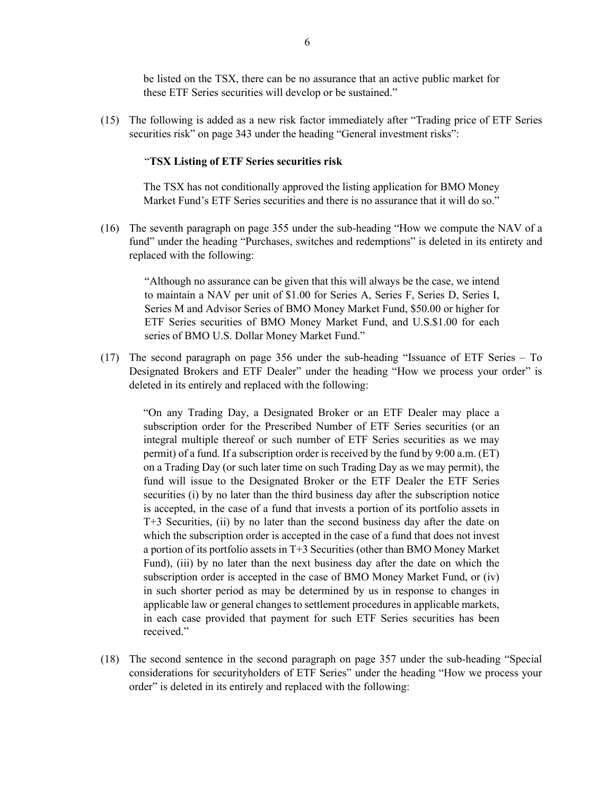be listed on the TSX, there can be no assurance that an active public market for these ETF Series securities will develop or be sustained."

(15) The following is added as a new risk factor immediately after "Trading price of ETF Series securities risk" on page 343 under the heading "General investment risks":

#### "**TSX Listing of ETF Series securities risk**

The TSX has not conditionally approved the listing application for BMO Money Market Fund's ETF Series securities and there is no assurance that it will do so."

(16) The seventh paragraph on page 355 under the sub-heading "How we compute the NAV of a fund" under the heading "Purchases, switches and redemptions" is deleted in its entirety and replaced with the following:

"Although no assurance can be given that this will always be the case, we intend to maintain a NAV per unit of \$1.00 for Series A, Series F, Series D, Series I, Series M and Advisor Series of BMO Money Market Fund, \$50.00 or higher for ETF Series securities of BMO Money Market Fund, and U.S.\$1.00 for each series of BMO U.S. Dollar Money Market Fund."

(17) The second paragraph on page 356 under the sub-heading "Issuance of ETF Series – To Designated Brokers and ETF Dealer" under the heading "How we process your order" is deleted in its entirely and replaced with the following:

"On any Trading Day, a Designated Broker or an ETF Dealer may place a subscription order for the Prescribed Number of ETF Series securities (or an integral multiple thereof or such number of ETF Series securities as we may permit) of a fund. If a subscription order is received by the fund by 9:00 a.m. (ET) on a Trading Day (or such later time on such Trading Day as we may permit), the fund will issue to the Designated Broker or the ETF Dealer the ETF Series securities (i) by no later than the third business day after the subscription notice is accepted, in the case of a fund that invests a portion of its portfolio assets in T+3 Securities, (ii) by no later than the second business day after the date on which the subscription order is accepted in the case of a fund that does not invest a portion of its portfolio assets in T+3 Securities (other than BMO Money Market Fund), (iii) by no later than the next business day after the date on which the subscription order is accepted in the case of BMO Money Market Fund, or (iv) in such shorter period as may be determined by us in response to changes in applicable law or general changes to settlement procedures in applicable markets, in each case provided that payment for such ETF Series securities has been received."

(18) The second sentence in the second paragraph on page 357 under the sub-heading "Special considerations for securityholders of ETF Series" under the heading "How we process your order" is deleted in its entirely and replaced with the following: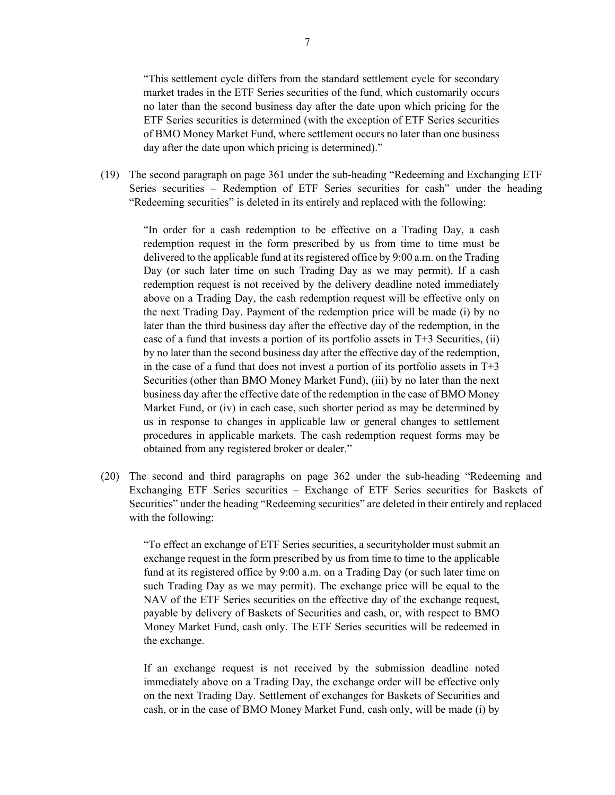"This settlement cycle differs from the standard settlement cycle for secondary market trades in the ETF Series securities of the fund, which customarily occurs no later than the second business day after the date upon which pricing for the ETF Series securities is determined (with the exception of ETF Series securities of BMO Money Market Fund, where settlement occurs no later than one business day after the date upon which pricing is determined)."

(19) The second paragraph on page 361 under the sub-heading "Redeeming and Exchanging ETF Series securities – Redemption of ETF Series securities for cash" under the heading "Redeeming securities" is deleted in its entirely and replaced with the following:

"In order for a cash redemption to be effective on a Trading Day, a cash redemption request in the form prescribed by us from time to time must be delivered to the applicable fund at its registered office by 9:00 a.m. on the Trading Day (or such later time on such Trading Day as we may permit). If a cash redemption request is not received by the delivery deadline noted immediately above on a Trading Day, the cash redemption request will be effective only on the next Trading Day. Payment of the redemption price will be made (i) by no later than the third business day after the effective day of the redemption, in the case of a fund that invests a portion of its portfolio assets in  $T+3$  Securities, (ii) by no later than the second business day after the effective day of the redemption, in the case of a fund that does not invest a portion of its portfolio assets in  $T+3$ Securities (other than BMO Money Market Fund), (iii) by no later than the next business day after the effective date of the redemption in the case of BMO Money Market Fund, or (iv) in each case, such shorter period as may be determined by us in response to changes in applicable law or general changes to settlement procedures in applicable markets. The cash redemption request forms may be obtained from any registered broker or dealer."

(20) The second and third paragraphs on page 362 under the sub-heading "Redeeming and Exchanging ETF Series securities – Exchange of ETF Series securities for Baskets of Securities" under the heading "Redeeming securities" are deleted in their entirely and replaced with the following:

"To effect an exchange of ETF Series securities, a securityholder must submit an exchange request in the form prescribed by us from time to time to the applicable fund at its registered office by 9:00 a.m. on a Trading Day (or such later time on such Trading Day as we may permit). The exchange price will be equal to the NAV of the ETF Series securities on the effective day of the exchange request, payable by delivery of Baskets of Securities and cash, or, with respect to BMO Money Market Fund, cash only. The ETF Series securities will be redeemed in the exchange.

If an exchange request is not received by the submission deadline noted immediately above on a Trading Day, the exchange order will be effective only on the next Trading Day. Settlement of exchanges for Baskets of Securities and cash, or in the case of BMO Money Market Fund, cash only, will be made (i) by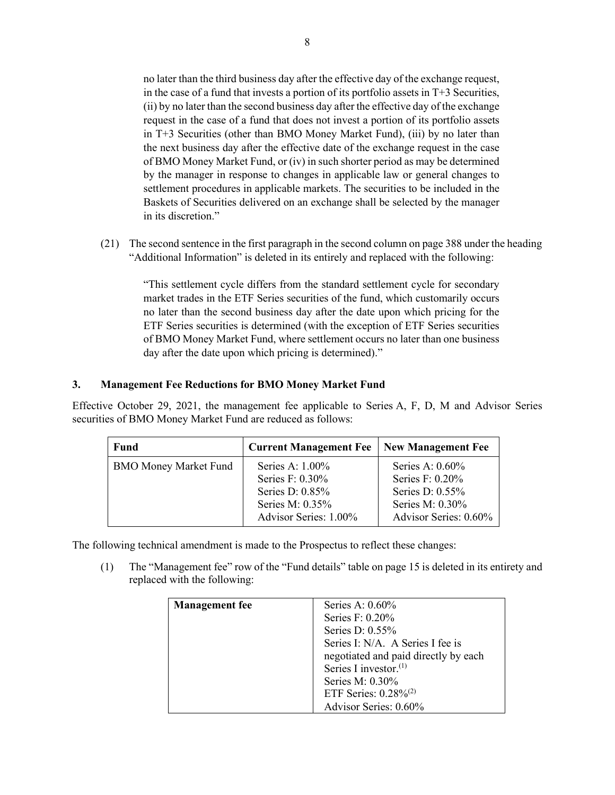no later than the third business day after the effective day of the exchange request, in the case of a fund that invests a portion of its portfolio assets in T+3 Securities, (ii) by no later than the second business day after the effective day of the exchange request in the case of a fund that does not invest a portion of its portfolio assets in T+3 Securities (other than BMO Money Market Fund), (iii) by no later than the next business day after the effective date of the exchange request in the case of BMO Money Market Fund, or (iv) in such shorter period as may be determined by the manager in response to changes in applicable law or general changes to settlement procedures in applicable markets. The securities to be included in the Baskets of Securities delivered on an exchange shall be selected by the manager in its discretion."

(21) The second sentence in the first paragraph in the second column on page 388 under the heading "Additional Information" is deleted in its entirely and replaced with the following:

"This settlement cycle differs from the standard settlement cycle for secondary market trades in the ETF Series securities of the fund, which customarily occurs no later than the second business day after the date upon which pricing for the ETF Series securities is determined (with the exception of ETF Series securities of BMO Money Market Fund, where settlement occurs no later than one business day after the date upon which pricing is determined)."

# **3. Management Fee Reductions for BMO Money Market Fund**

Effective October 29, 2021, the management fee applicable to Series A, F, D, M and Advisor Series securities of BMO Money Market Fund are reduced as follows:

| Fund                         | <b>Current Management Fee</b>                                                                        | New Management Fee                                                                                         |
|------------------------------|------------------------------------------------------------------------------------------------------|------------------------------------------------------------------------------------------------------------|
| <b>BMO Money Market Fund</b> | Series A: 1.00%<br>Series $F: 0.30\%$<br>Series D: 0.85%<br>Series M: 0.35%<br>Advisor Series: 1.00% | Series A: $0.60\%$<br>Series $F: 0.20\%$<br>Series D: $0.55\%$<br>Series M: 0.30%<br>Advisor Series: 0.60% |

The following technical amendment is made to the Prospectus to reflect these changes:

(1) The "Management fee" row of the "Fund details" table on page 15 is deleted in its entirety and replaced with the following:

| <b>Management</b> fee | Series A: 0.60%                      |
|-----------------------|--------------------------------------|
|                       | Series F: 0.20%                      |
|                       | Series D: 0.55%                      |
|                       | Series I: N/A. A Series I fee is     |
|                       | negotiated and paid directly by each |
|                       | Series I investor. $(1)$             |
|                       | Series M: 0.30%                      |
|                       | ETF Series: $0.28\%^{(2)}$           |
|                       | Advisor Series: 0.60%                |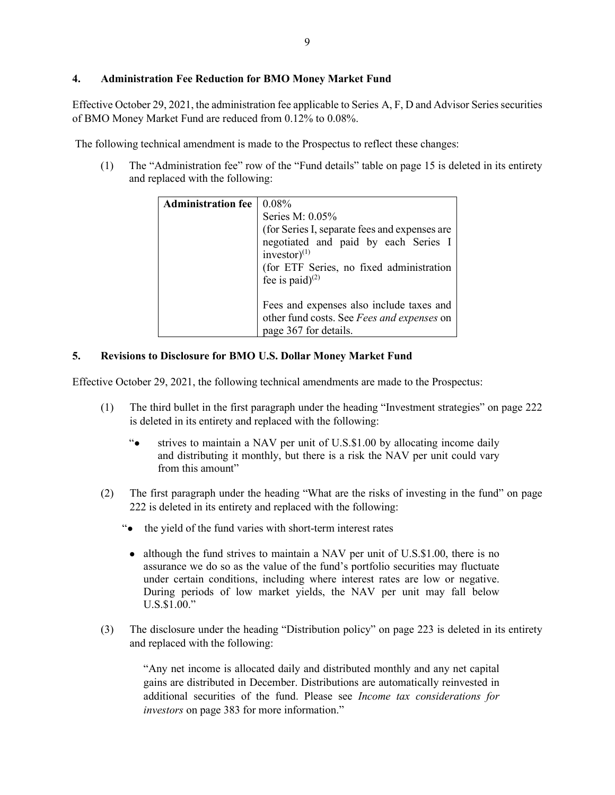# **4. Administration Fee Reduction for BMO Money Market Fund**

Effective October 29, 2021, the administration fee applicable to Series A, F, D and Advisor Series securities of BMO Money Market Fund are reduced from 0.12% to 0.08%.

The following technical amendment is made to the Prospectus to reflect these changes:

(1) The "Administration fee" row of the "Fund details" table on page 15 is deleted in its entirety and replaced with the following:

| <b>Administration fee</b> | 0.08%                                         |
|---------------------------|-----------------------------------------------|
|                           |                                               |
|                           | Series M: 0.05%                               |
|                           | (for Series I, separate fees and expenses are |
|                           | negotiated and paid by each Series I          |
|                           | investor $)^{(1)}$                            |
|                           | (for ETF Series, no fixed administration      |
|                           | fee is paid) $^{(2)}$                         |
|                           |                                               |
|                           | Fees and expenses also include taxes and      |
|                           | other fund costs. See Fees and expenses on    |
|                           | page 367 for details.                         |

# **5. Revisions to Disclosure for BMO U.S. Dollar Money Market Fund**

Effective October 29, 2021, the following technical amendments are made to the Prospectus:

- (1) The third bullet in the first paragraph under the heading "Investment strategies" on page 222 is deleted in its entirety and replaced with the following:
	- "● strives to maintain a NAV per unit of U.S.\$1.00 by allocating income daily and distributing it monthly, but there is a risk the NAV per unit could vary from this amount"
- (2) The first paragraph under the heading "What are the risks of investing in the fund" on page 222 is deleted in its entirety and replaced with the following:
	- "● the yield of the fund varies with short-term interest rates
		- although the fund strives to maintain a NAV per unit of U.S.\$1.00, there is no assurance we do so as the value of the fund's portfolio securities may fluctuate under certain conditions, including where interest rates are low or negative. During periods of low market yields, the NAV per unit may fall below U.S.\$1.00."
- (3) The disclosure under the heading "Distribution policy" on page 223 is deleted in its entirety and replaced with the following:

"Any net income is allocated daily and distributed monthly and any net capital gains are distributed in December. Distributions are automatically reinvested in additional securities of the fund. Please see *Income tax considerations for investors* on page 383 for more information."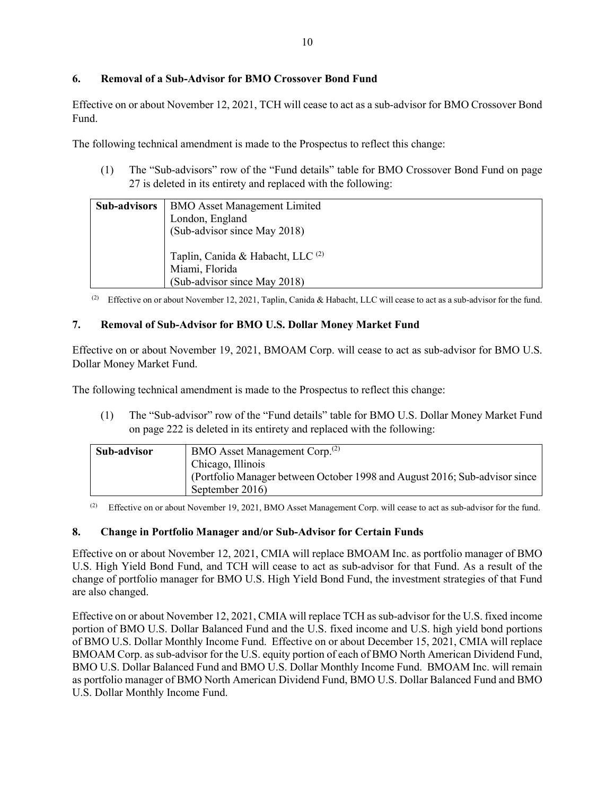# **6. Removal of a Sub-Advisor for BMO Crossover Bond Fund**

Effective on or about November 12, 2021, TCH will cease to act as a sub-advisor for BMO Crossover Bond Fund.

The following technical amendment is made to the Prospectus to reflect this change:

(1) The "Sub-advisors" row of the "Fund details" table for BMO Crossover Bond Fund on page 27 is deleted in its entirety and replaced with the following:

| Sub-advisors | <b>BMO</b> Asset Management Limited          |
|--------------|----------------------------------------------|
|              | London, England                              |
|              | (Sub-advisor since May 2018)                 |
|              |                                              |
|              | Taplin, Canida & Habacht, LLC <sup>(2)</sup> |
|              | Miami, Florida                               |
|              | (Sub-advisor since May 2018)                 |

(2) Effective on or about November 12, 2021, Taplin, Canida & Habacht, LLC will cease to act as a sub-advisor for the fund.

# **7. Removal of Sub-Advisor for BMO U.S. Dollar Money Market Fund**

Effective on or about November 19, 2021, BMOAM Corp. will cease to act as sub-advisor for BMO U.S. Dollar Money Market Fund.

The following technical amendment is made to the Prospectus to reflect this change:

(1) The "Sub-advisor" row of the "Fund details" table for BMO U.S. Dollar Money Market Fund on page 222 is deleted in its entirety and replaced with the following:

| Sub-advisor | BMO Asset Management Corp. <sup>(2)</sup><br>Chicago, Illinois                               |
|-------------|----------------------------------------------------------------------------------------------|
|             | Cortfolio Manager between October 1998 and August 2016; Sub-advisor since<br>September 2016) |

<sup>(2)</sup> Effective on or about November 19, 2021, BMO Asset Management Corp. will cease to act as sub-advisor for the fund.

# **8. Change in Portfolio Manager and/or Sub-Advisor for Certain Funds**

Effective on or about November 12, 2021, CMIA will replace BMOAM Inc. as portfolio manager of BMO U.S. High Yield Bond Fund, and TCH will cease to act as sub-advisor for that Fund. As a result of the change of portfolio manager for BMO U.S. High Yield Bond Fund, the investment strategies of that Fund are also changed.

Effective on or about November 12, 2021, CMIA will replace TCH as sub-advisor for the U.S. fixed income portion of BMO U.S. Dollar Balanced Fund and the U.S. fixed income and U.S. high yield bond portions of BMO U.S. Dollar Monthly Income Fund. Effective on or about December 15, 2021, CMIA will replace BMOAM Corp. as sub-advisor for the U.S. equity portion of each of BMO North American Dividend Fund, BMO U.S. Dollar Balanced Fund and BMO U.S. Dollar Monthly Income Fund. BMOAM Inc. will remain as portfolio manager of BMO North American Dividend Fund, BMO U.S. Dollar Balanced Fund and BMO U.S. Dollar Monthly Income Fund.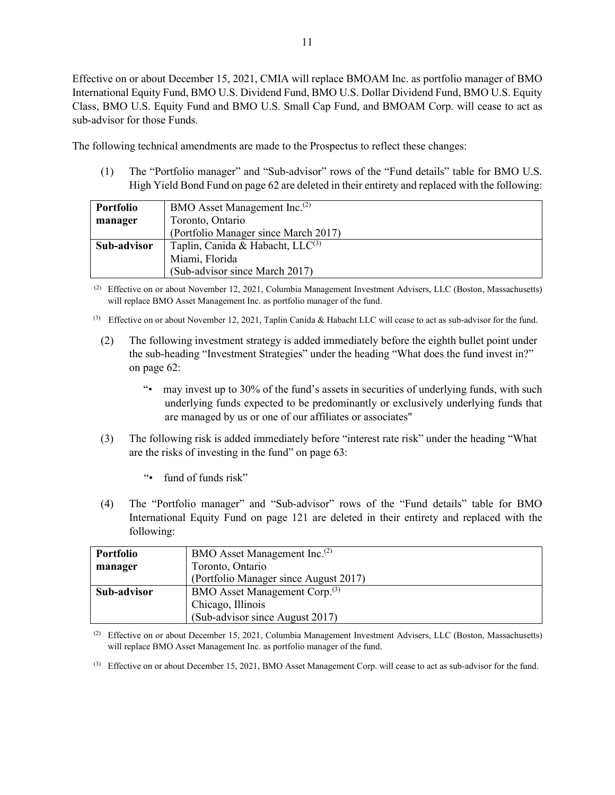Effective on or about December 15, 2021, CMIA will replace BMOAM Inc. as portfolio manager of BMO International Equity Fund, BMO U.S. Dividend Fund, BMO U.S. Dollar Dividend Fund, BMO U.S. Equity Class, BMO U.S. Equity Fund and BMO U.S. Small Cap Fund, and BMOAM Corp. will cease to act as sub-advisor for those Funds.

The following technical amendments are made to the Prospectus to reflect these changes:

(1) The "Portfolio manager" and "Sub-advisor" rows of the "Fund details" table for BMO U.S. High Yield Bond Fund on page 62 are deleted in their entirety and replaced with the following:

| Portfolio   | BMO Asset Management Inc. <sup>(2)</sup> |
|-------------|------------------------------------------|
| manager     | Toronto, Ontario                         |
|             | (Portfolio Manager since March 2017)     |
| Sub-advisor | Taplin, Canida & Habacht, $LLC^{(3)}$    |
|             | Miami, Florida                           |
|             | (Sub-advisor since March 2017)           |

(2) Effective on or about November 12, 2021, Columbia Management Investment Advisers, LLC (Boston, Massachusetts) will replace BMO Asset Management Inc. as portfolio manager of the fund.

(3) Effective on or about November 12, 2021, Taplin Canida & Habacht LLC will cease to act as sub-advisor for the fund.

- (2) The following investment strategy is added immediately before the eighth bullet point under the sub-heading "Investment Strategies" under the heading "What does the fund invest in?" on page 62:
	- "• may invest up to 30% of the fund's assets in securities of underlying funds, with such underlying funds expected to be predominantly or exclusively underlying funds that are managed by us or one of our affiliates or associates"
- (3) The following risk is added immediately before "interest rate risk" under the heading "What are the risks of investing in the fund" on page 63:
	- "• fund of funds risk"
- (4) The "Portfolio manager" and "Sub-advisor" rows of the "Fund details" table for BMO International Equity Fund on page 121 are deleted in their entirety and replaced with the following:

| <b>Portfolio</b> | BMO Asset Management Inc. <sup>(2)</sup>  |
|------------------|-------------------------------------------|
| manager          | Toronto, Ontario                          |
|                  | (Portfolio Manager since August 2017)     |
| Sub-advisor      | BMO Asset Management Corp. <sup>(3)</sup> |
|                  | Chicago, Illinois                         |
|                  | (Sub-advisor since August 2017)           |

(2) Effective on or about December 15, 2021, Columbia Management Investment Advisers, LLC (Boston, Massachusetts) will replace BMO Asset Management Inc. as portfolio manager of the fund.

(3) Effective on or about December 15, 2021, BMO Asset Management Corp. will cease to act as sub-advisor for the fund.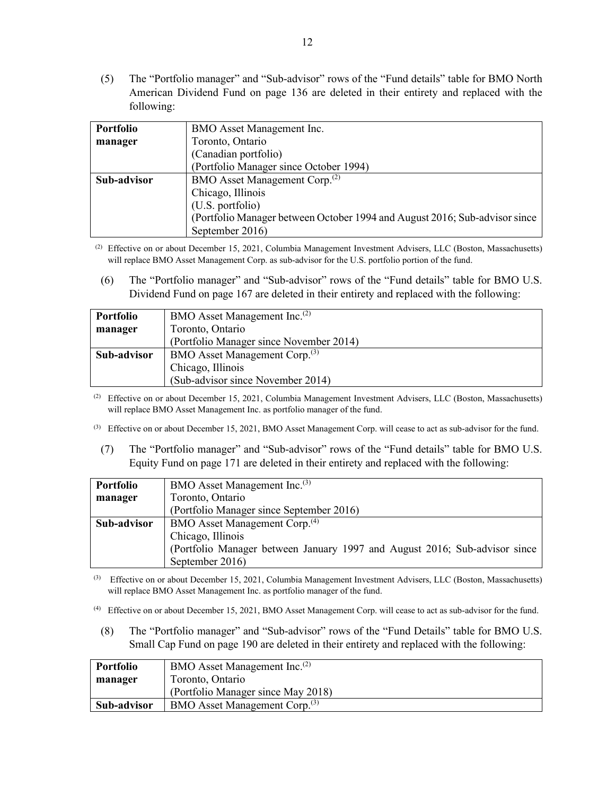(5) The "Portfolio manager" and "Sub-advisor" rows of the "Fund details" table for BMO North American Dividend Fund on page 136 are deleted in their entirety and replaced with the following:

| <b>Portfolio</b> | BMO Asset Management Inc.                                                  |
|------------------|----------------------------------------------------------------------------|
| manager          | Toronto, Ontario                                                           |
|                  | (Canadian portfolio)                                                       |
|                  | (Portfolio Manager since October 1994)                                     |
| Sub-advisor      | BMO Asset Management Corp. <sup>(2)</sup>                                  |
|                  | Chicago, Illinois                                                          |
|                  | (U.S. portfolio)                                                           |
|                  | (Portfolio Manager between October 1994 and August 2016; Sub-advisor since |
|                  | September 2016)                                                            |

- (2) Effective on or about December 15, 2021, Columbia Management Investment Advisers, LLC (Boston, Massachusetts) will replace BMO Asset Management Corp. as sub-advisor for the U.S. portfolio portion of the fund.
- (6) The "Portfolio manager" and "Sub-advisor" rows of the "Fund details" table for BMO U.S. Dividend Fund on page 167 are deleted in their entirety and replaced with the following:

| Portfolio   | BMO Asset Management Inc. <sup>(2)</sup>  |
|-------------|-------------------------------------------|
| manager     | Toronto, Ontario                          |
|             | (Portfolio Manager since November 2014)   |
| Sub-advisor | BMO Asset Management Corp. <sup>(3)</sup> |
|             | Chicago, Illinois                         |
|             | (Sub-advisor since November 2014)         |

(2) Effective on or about December 15, 2021, Columbia Management Investment Advisers, LLC (Boston, Massachusetts) will replace BMO Asset Management Inc. as portfolio manager of the fund.

(3) Effective on or about December 15, 2021, BMO Asset Management Corp. will cease to act as sub-advisor for the fund.

(7) The "Portfolio manager" and "Sub-advisor" rows of the "Fund details" table for BMO U.S. Equity Fund on page 171 are deleted in their entirety and replaced with the following:

| Portfolio   | BMO Asset Management Inc. <sup>(3)</sup>                                   |  |
|-------------|----------------------------------------------------------------------------|--|
| manager     | Toronto, Ontario                                                           |  |
|             | (Portfolio Manager since September 2016)                                   |  |
| Sub-advisor | BMO Asset Management Corp. <sup>(4)</sup>                                  |  |
|             | Chicago, Illinois                                                          |  |
|             | (Portfolio Manager between January 1997 and August 2016; Sub-advisor since |  |
|             | September 2016)                                                            |  |

- (3) Effective on or about December 15, 2021, Columbia Management Investment Advisers, LLC (Boston, Massachusetts) will replace BMO Asset Management Inc. as portfolio manager of the fund.
- (4) Effective on or about December 15, 2021, BMO Asset Management Corp. will cease to act as sub-advisor for the fund.
	- (8) The "Portfolio manager" and "Sub-advisor" rows of the "Fund Details" table for BMO U.S. Small Cap Fund on page 190 are deleted in their entirety and replaced with the following:

| Portfolio   | BMO Asset Management Inc. <sup>(2)</sup>  |  |
|-------------|-------------------------------------------|--|
| manager     | Toronto, Ontario                          |  |
|             | (Portfolio Manager since May 2018)        |  |
| Sub-advisor | BMO Asset Management Corp. <sup>(3)</sup> |  |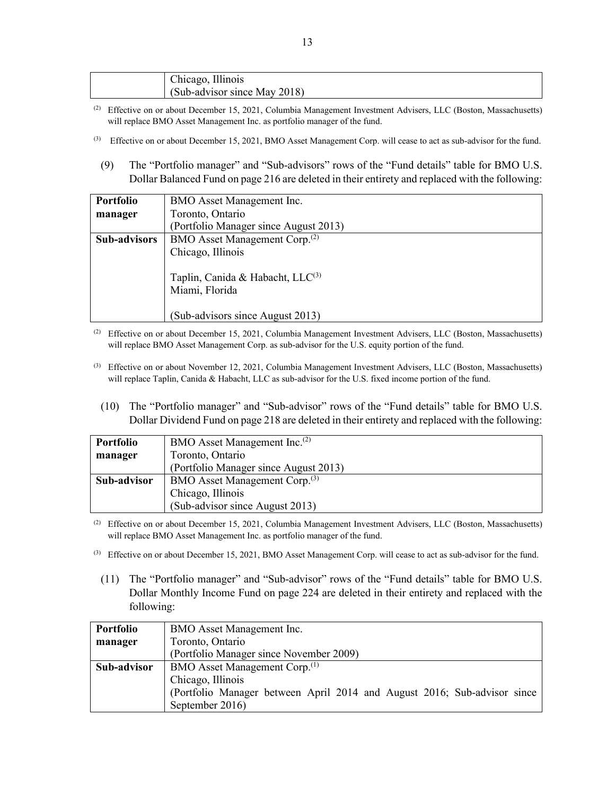| Chicago, Illinois            |
|------------------------------|
| (Sub-advisor since May 2018) |

- (2) Effective on or about December 15, 2021, Columbia Management Investment Advisers, LLC (Boston, Massachusetts) will replace BMO Asset Management Inc. as portfolio manager of the fund.
- (3) Effective on or about December 15, 2021, BMO Asset Management Corp. will cease to act as sub-advisor for the fund.
- (9) The "Portfolio manager" and "Sub-advisors" rows of the "Fund details" table for BMO U.S. Dollar Balanced Fund on page 216 are deleted in their entirety and replaced with the following:

| <b>Portfolio</b> | BMO Asset Management Inc.                 |
|------------------|-------------------------------------------|
| manager          | Toronto, Ontario                          |
|                  | (Portfolio Manager since August 2013)     |
| Sub-advisors     | BMO Asset Management Corp. <sup>(2)</sup> |
|                  | Chicago, Illinois                         |
|                  |                                           |
|                  | Taplin, Canida & Habacht, LLC(3)          |
|                  | Miami, Florida                            |
|                  |                                           |
|                  | (Sub-advisors since August 2013)          |

- (2) Effective on or about December 15, 2021, Columbia Management Investment Advisers, LLC (Boston, Massachusetts) will replace BMO Asset Management Corp. as sub-advisor for the U.S. equity portion of the fund.
- (3) Effective on or about November 12, 2021, Columbia Management Investment Advisers, LLC (Boston, Massachusetts) will replace Taplin, Canida & Habacht, LLC as sub-advisor for the U.S. fixed income portion of the fund.
	- (10) The "Portfolio manager" and "Sub-advisor" rows of the "Fund details" table for BMO U.S. Dollar Dividend Fund on page 218 are deleted in their entirety and replaced with the following:

| Portfolio   | BMO Asset Management Inc. <sup>(2)</sup>  |  |
|-------------|-------------------------------------------|--|
| manager     | Toronto, Ontario                          |  |
|             | (Portfolio Manager since August 2013)     |  |
| Sub-advisor | BMO Asset Management Corp. <sup>(3)</sup> |  |
|             | Chicago, Illinois                         |  |
|             | (Sub-advisor since August 2013)           |  |

(2) Effective on or about December 15, 2021, Columbia Management Investment Advisers, LLC (Boston, Massachusetts) will replace BMO Asset Management Inc. as portfolio manager of the fund.

- (3) Effective on or about December 15, 2021, BMO Asset Management Corp. will cease to act as sub-advisor for the fund.
- (11) The "Portfolio manager" and "Sub-advisor" rows of the "Fund details" table for BMO U.S. Dollar Monthly Income Fund on page 224 are deleted in their entirety and replaced with the following:

| Portfolio   | BMO Asset Management Inc.                                                |  |
|-------------|--------------------------------------------------------------------------|--|
| manager     | Toronto, Ontario                                                         |  |
|             | (Portfolio Manager since November 2009)                                  |  |
| Sub-advisor | BMO Asset Management Corp. <sup>(1)</sup>                                |  |
|             | Chicago, Illinois                                                        |  |
|             | (Portfolio Manager between April 2014 and August 2016; Sub-advisor since |  |
|             | September 2016)                                                          |  |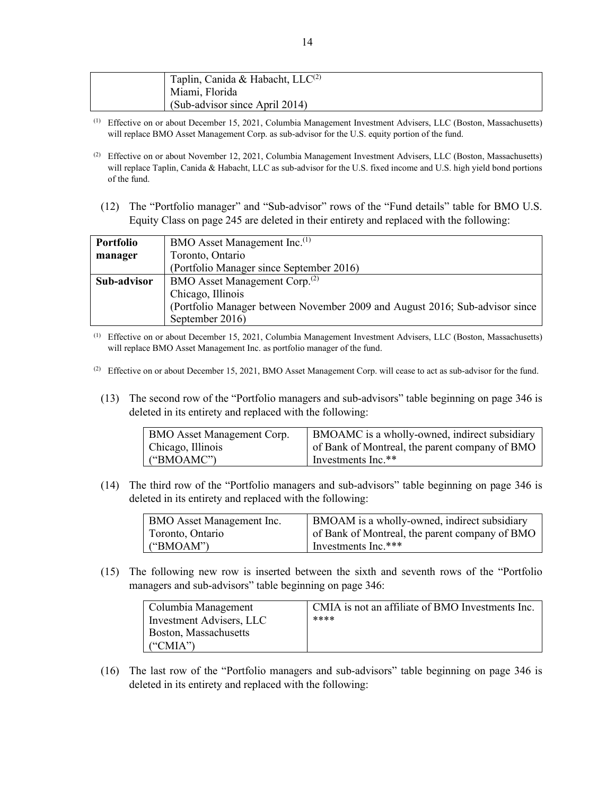| Taplin, Canida & Habacht, LLC <sup>(2)</sup> |
|----------------------------------------------|
| Miami, Florida                               |
| (Sub-advisor since April 2014)               |

- (1) Effective on or about December 15, 2021, Columbia Management Investment Advisers, LLC (Boston, Massachusetts) will replace BMO Asset Management Corp. as sub-advisor for the U.S. equity portion of the fund.
- (2) Effective on or about November 12, 2021, Columbia Management Investment Advisers, LLC (Boston, Massachusetts) will replace Taplin, Canida & Habacht, LLC as sub-advisor for the U.S. fixed income and U.S. high yield bond portions of the fund.
	- (12) The "Portfolio manager" and "Sub-advisor" rows of the "Fund details" table for BMO U.S. Equity Class on page 245 are deleted in their entirety and replaced with the following:

| Portfolio   | BMO Asset Management Inc. <sup>(1)</sup>                                    |  |
|-------------|-----------------------------------------------------------------------------|--|
| manager     | Toronto, Ontario                                                            |  |
|             | (Portfolio Manager since September 2016)                                    |  |
| Sub-advisor | BMO Asset Management Corp. <sup>(2)</sup>                                   |  |
|             | Chicago, Illinois                                                           |  |
|             | (Portfolio Manager between November 2009 and August 2016; Sub-advisor since |  |
|             | September 2016)                                                             |  |

- (1) Effective on or about December 15, 2021, Columbia Management Investment Advisers, LLC (Boston, Massachusetts) will replace BMO Asset Management Inc. as portfolio manager of the fund.
- $<sup>(2)</sup>$  Effective on or about December 15, 2021, BMO Asset Management Corp. will cease to act as sub-advisor for the fund.</sup>
- (13) The second row of the "Portfolio managers and sub-advisors" table beginning on page 346 is deleted in its entirety and replaced with the following:

| <b>BMO</b> Asset Management Corp. | BMOAMC is a wholly-owned, indirect subsidiary  |
|-----------------------------------|------------------------------------------------|
| Chicago, Illinois                 | of Bank of Montreal, the parent company of BMO |
| $\mid$ ("BMOAMC")                 | Investments Inc.**                             |

(14) The third row of the "Portfolio managers and sub-advisors" table beginning on page 346 is deleted in its entirety and replaced with the following:

| <b>BMO</b> Asset Management Inc. | BMOAM is a wholly-owned, indirect subsidiary   |
|----------------------------------|------------------------------------------------|
| Toronto, Ontario                 | of Bank of Montreal, the parent company of BMO |
| $\mid$ ("BMOAM")                 | Investments Inc.***                            |

(15) The following new row is inserted between the sixth and seventh rows of the "Portfolio managers and sub-advisors" table beginning on page 346:

| Columbia Management          | CMIA is not an affiliate of BMO Investments Inc. |
|------------------------------|--------------------------------------------------|
| Investment Advisers, LLC     | ****                                             |
| <b>Boston, Massachusetts</b> |                                                  |
| $(^{\circ}CMIA")$            |                                                  |

(16) The last row of the "Portfolio managers and sub-advisors" table beginning on page 346 is deleted in its entirety and replaced with the following: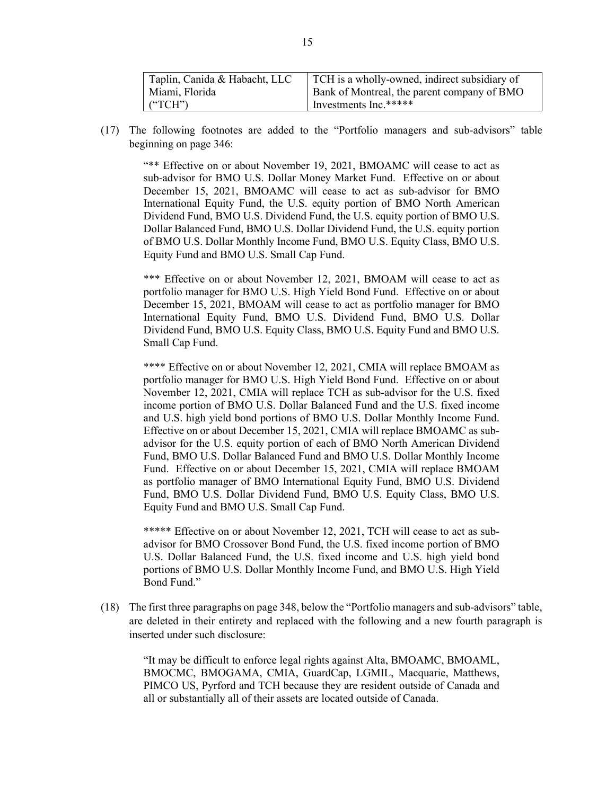| Taplin, Canida & Habacht, LLC         | TCH is a wholly-owned, indirect subsidiary of |
|---------------------------------------|-----------------------------------------------|
| Miami, Florida                        | Bank of Montreal, the parent company of BMO   |
| $(^{\prime\prime}TCH^{\prime\prime})$ | Investments Inc.*****                         |

(17) The following footnotes are added to the "Portfolio managers and sub-advisors" table beginning on page 346:

"\*\* Effective on or about November 19, 2021, BMOAMC will cease to act as sub-advisor for BMO U.S. Dollar Money Market Fund. Effective on or about December 15, 2021, BMOAMC will cease to act as sub-advisor for BMO International Equity Fund, the U.S. equity portion of BMO North American Dividend Fund, BMO U.S. Dividend Fund, the U.S. equity portion of BMO U.S. Dollar Balanced Fund, BMO U.S. Dollar Dividend Fund, the U.S. equity portion of BMO U.S. Dollar Monthly Income Fund, BMO U.S. Equity Class, BMO U.S. Equity Fund and BMO U.S. Small Cap Fund.

\*\*\* Effective on or about November 12, 2021, BMOAM will cease to act as portfolio manager for BMO U.S. High Yield Bond Fund. Effective on or about December 15, 2021, BMOAM will cease to act as portfolio manager for BMO International Equity Fund, BMO U.S. Dividend Fund, BMO U.S. Dollar Dividend Fund, BMO U.S. Equity Class, BMO U.S. Equity Fund and BMO U.S. Small Cap Fund.

\*\*\*\* Effective on or about November 12, 2021, CMIA will replace BMOAM as portfolio manager for BMO U.S. High Yield Bond Fund. Effective on or about November 12, 2021, CMIA will replace TCH as sub-advisor for the U.S. fixed income portion of BMO U.S. Dollar Balanced Fund and the U.S. fixed income and U.S. high yield bond portions of BMO U.S. Dollar Monthly Income Fund. Effective on or about December 15, 2021, CMIA will replace BMOAMC as subadvisor for the U.S. equity portion of each of BMO North American Dividend Fund, BMO U.S. Dollar Balanced Fund and BMO U.S. Dollar Monthly Income Fund. Effective on or about December 15, 2021, CMIA will replace BMOAM as portfolio manager of BMO International Equity Fund, BMO U.S. Dividend Fund, BMO U.S. Dollar Dividend Fund, BMO U.S. Equity Class, BMO U.S. Equity Fund and BMO U.S. Small Cap Fund.

\*\*\*\*\* Effective on or about November 12, 2021, TCH will cease to act as subadvisor for BMO Crossover Bond Fund, the U.S. fixed income portion of BMO U.S. Dollar Balanced Fund, the U.S. fixed income and U.S. high yield bond portions of BMO U.S. Dollar Monthly Income Fund, and BMO U.S. High Yield Bond Fund."

(18) The first three paragraphs on page 348, below the "Portfolio managers and sub-advisors" table, are deleted in their entirety and replaced with the following and a new fourth paragraph is inserted under such disclosure:

"It may be difficult to enforce legal rights against Alta, BMOAMC, BMOAML, BMOCMC, BMOGAMA, CMIA, GuardCap, LGMIL, Macquarie, Matthews, PIMCO US, Pyrford and TCH because they are resident outside of Canada and all or substantially all of their assets are located outside of Canada.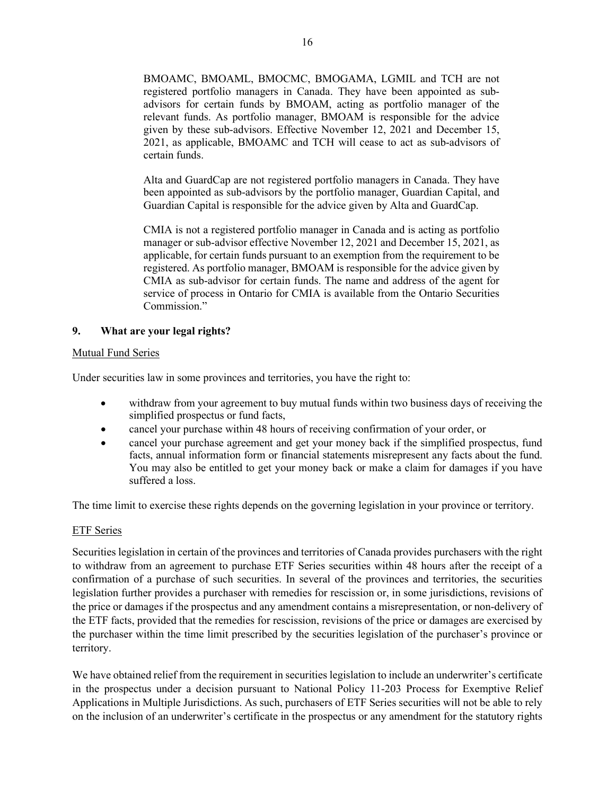BMOAMC, BMOAML, BMOCMC, BMOGAMA, LGMIL and TCH are not registered portfolio managers in Canada. They have been appointed as subadvisors for certain funds by BMOAM, acting as portfolio manager of the relevant funds. As portfolio manager, BMOAM is responsible for the advice given by these sub-advisors. Effective November 12, 2021 and December 15, 2021, as applicable, BMOAMC and TCH will cease to act as sub-advisors of certain funds.

Alta and GuardCap are not registered portfolio managers in Canada. They have been appointed as sub-advisors by the portfolio manager, Guardian Capital, and Guardian Capital is responsible for the advice given by Alta and GuardCap.

CMIA is not a registered portfolio manager in Canada and is acting as portfolio manager or sub-advisor effective November 12, 2021 and December 15, 2021, as applicable, for certain funds pursuant to an exemption from the requirement to be registered. As portfolio manager, BMOAM is responsible for the advice given by CMIA as sub-advisor for certain funds. The name and address of the agent for service of process in Ontario for CMIA is available from the Ontario Securities Commission."

## **9. What are your legal rights?**

#### Mutual Fund Series

Under securities law in some provinces and territories, you have the right to:

- withdraw from your agreement to buy mutual funds within two business days of receiving the simplified prospectus or fund facts,
- cancel your purchase within 48 hours of receiving confirmation of your order, or
- cancel your purchase agreement and get your money back if the simplified prospectus, fund facts, annual information form or financial statements misrepresent any facts about the fund. You may also be entitled to get your money back or make a claim for damages if you have suffered a loss.

The time limit to exercise these rights depends on the governing legislation in your province or territory.

## ETF Series

Securities legislation in certain of the provinces and territories of Canada provides purchasers with the right to withdraw from an agreement to purchase ETF Series securities within 48 hours after the receipt of a confirmation of a purchase of such securities. In several of the provinces and territories, the securities legislation further provides a purchaser with remedies for rescission or, in some jurisdictions, revisions of the price or damages if the prospectus and any amendment contains a misrepresentation, or non-delivery of the ETF facts, provided that the remedies for rescission, revisions of the price or damages are exercised by the purchaser within the time limit prescribed by the securities legislation of the purchaser's province or territory.

We have obtained relief from the requirement in securities legislation to include an underwriter's certificate in the prospectus under a decision pursuant to National Policy 11-203 Process for Exemptive Relief Applications in Multiple Jurisdictions. As such, purchasers of ETF Series securities will not be able to rely on the inclusion of an underwriter's certificate in the prospectus or any amendment for the statutory rights